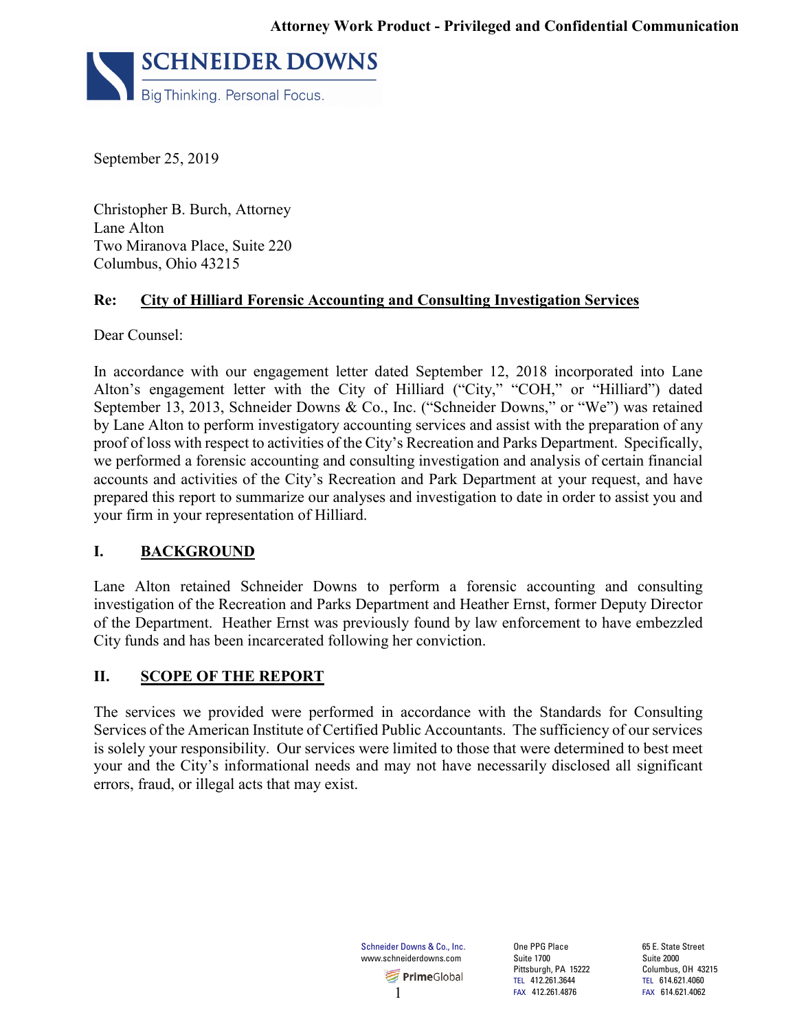

September 25, 2019

Christopher B. Burch, Attorney Lane Alton Two Miranova Place, Suite 220 Columbus, Ohio 43215

#### **Re: City of Hilliard Forensic Accounting and Consulting Investigation Services**

Dear Counsel:

In accordance with our engagement letter dated September 12, 2018 incorporated into Lane Alton's engagement letter with the City of Hilliard ("City," "COH," or "Hilliard") dated September 13, 2013, Schneider Downs & Co., Inc. ("Schneider Downs," or "We") was retained by Lane Alton to perform investigatory accounting services and assist with the preparation of any proof of loss with respect to activities of the City's Recreation and Parks Department. Specifically, we performed a forensic accounting and consulting investigation and analysis of certain financial accounts and activities of the City's Recreation and Park Department at your request, and have prepared this report to summarize our analyses and investigation to date in order to assist you and your firm in your representation of Hilliard.

## **I. BACKGROUND**

Lane Alton retained Schneider Downs to perform a forensic accounting and consulting investigation of the Recreation and Parks Department and Heather Ernst, former Deputy Director of the Department. Heather Ernst was previously found by law enforcement to have embezzled City funds and has been incarcerated following her conviction.

#### **II. SCOPE OF THE REPORT**

The services we provided were performed in accordance with the Standards for Consulting Services of the American Institute of Certified Public Accountants. The sufficiency of our services is solely your responsibility. Our services were limited to those that were determined to best meet your and the City's informational needs and may not have necessarily disclosed all significant errors, fraud, or illegal acts that may exist.

> Schneider Downs & Co., Inc. www.schneiderdowns.com **PrimeGlobal** 1

One PPG Place Suite 1700 Pittsburgh, PA 15222 TEL 412.261.3644 FAX 412.261.4876

65 E. State Street Suite 2000 Columbus, OH 43215 TEL 614.621.4060 FAX 614.621.4062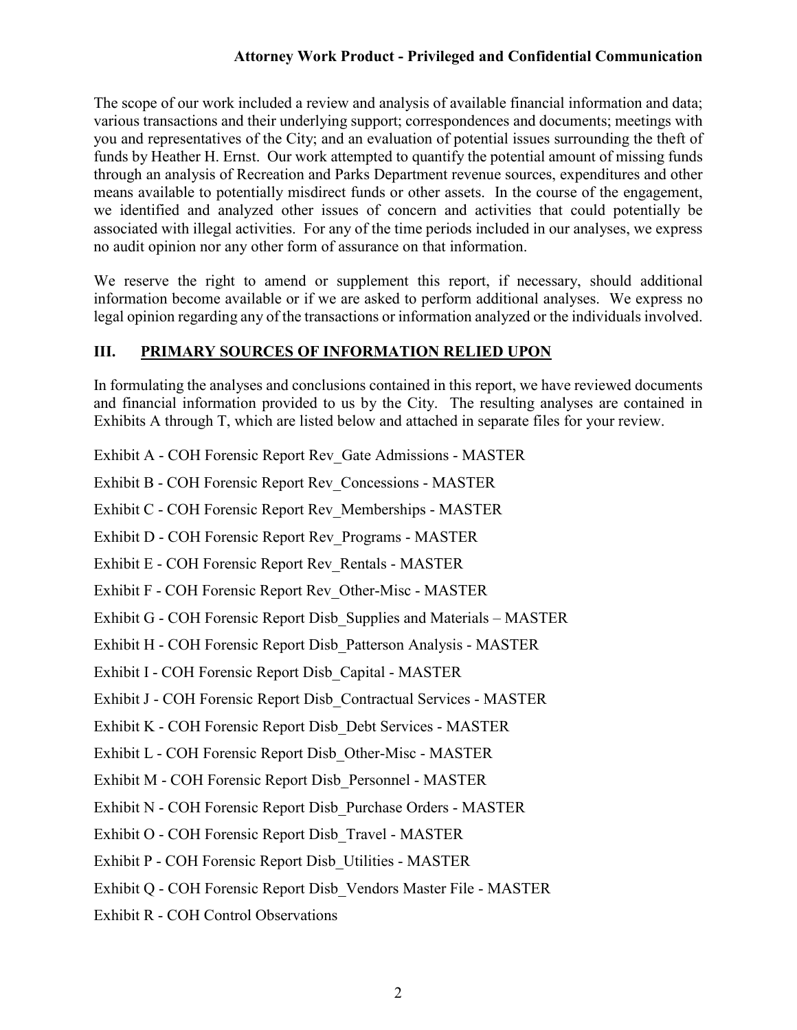#### **Attorney Work Product - Privileged and Confidential Communication**

The scope of our work included a review and analysis of available financial information and data; various transactions and their underlying support; correspondences and documents; meetings with you and representatives of the City; and an evaluation of potential issues surrounding the theft of funds by Heather H. Ernst. Our work attempted to quantify the potential amount of missing funds through an analysis of Recreation and Parks Department revenue sources, expenditures and other means available to potentially misdirect funds or other assets. In the course of the engagement, we identified and analyzed other issues of concern and activities that could potentially be associated with illegal activities. For any of the time periods included in our analyses, we express no audit opinion nor any other form of assurance on that information.

We reserve the right to amend or supplement this report, if necessary, should additional information become available or if we are asked to perform additional analyses. We express no legal opinion regarding any of the transactions or information analyzed or the individuals involved.

#### **III. PRIMARY SOURCES OF INFORMATION RELIED UPON**

In formulating the analyses and conclusions contained in this report, we have reviewed documents and financial information provided to us by the City. The resulting analyses are contained in Exhibits A through T, which are listed below and attached in separate files for your review.

- Exhibit A COH Forensic Report Rev\_Gate Admissions MASTER
- Exhibit B COH Forensic Report Rev\_Concessions MASTER
- Exhibit C COH Forensic Report Rev\_Memberships MASTER
- Exhibit D COH Forensic Report Rev\_Programs MASTER
- Exhibit E COH Forensic Report Rev\_Rentals MASTER
- Exhibit F COH Forensic Report Rev\_Other-Misc MASTER
- Exhibit G COH Forensic Report Disb\_Supplies and Materials MASTER
- Exhibit H COH Forensic Report Disb\_Patterson Analysis MASTER
- Exhibit I COH Forensic Report Disb\_Capital MASTER
- Exhibit J COH Forensic Report Disb\_Contractual Services MASTER
- Exhibit K COH Forensic Report Disb\_Debt Services MASTER
- Exhibit L COH Forensic Report Disb\_Other-Misc MASTER
- Exhibit M COH Forensic Report Disb\_Personnel MASTER
- Exhibit N COH Forensic Report Disb\_Purchase Orders MASTER
- Exhibit O COH Forensic Report Disb\_Travel MASTER
- Exhibit P COH Forensic Report Disb\_Utilities MASTER
- Exhibit Q COH Forensic Report Disb\_Vendors Master File MASTER
- Exhibit R COH Control Observations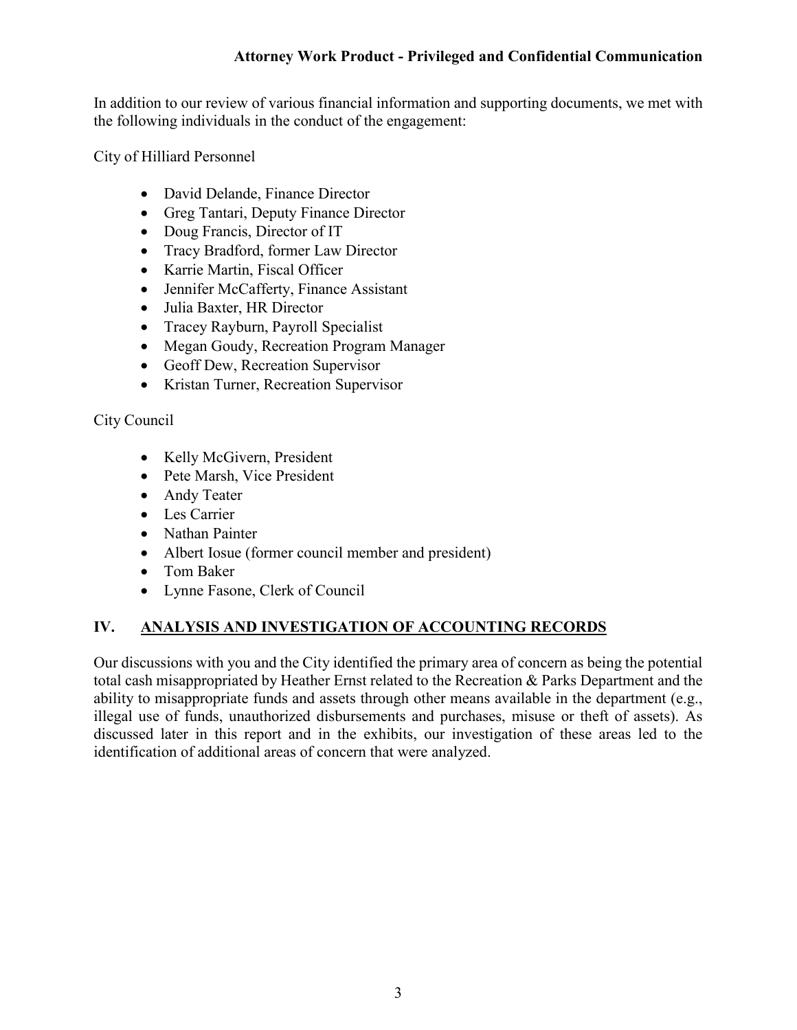## **Attorney Work Product - Privileged and Confidential Communication**

In addition to our review of various financial information and supporting documents, we met with the following individuals in the conduct of the engagement:

City of Hilliard Personnel

- David Delande, Finance Director
- Greg Tantari, Deputy Finance Director
- Doug Francis, Director of IT
- Tracy Bradford, former Law Director
- Karrie Martin, Fiscal Officer
- Jennifer McCafferty, Finance Assistant
- Julia Baxter, HR Director
- Tracey Rayburn, Payroll Specialist
- Megan Goudy, Recreation Program Manager
- Geoff Dew, Recreation Supervisor
- Kristan Turner, Recreation Supervisor

City Council

- Kelly McGivern, President
- Pete Marsh, Vice President
- Andy Teater
- Les Carrier
- Nathan Painter
- Albert Iosue (former council member and president)
- Tom Baker
- Lynne Fasone, Clerk of Council

## **IV. ANALYSIS AND INVESTIGATION OF ACCOUNTING RECORDS**

Our discussions with you and the City identified the primary area of concern as being the potential total cash misappropriated by Heather Ernst related to the Recreation & Parks Department and the ability to misappropriate funds and assets through other means available in the department (e.g., illegal use of funds, unauthorized disbursements and purchases, misuse or theft of assets). As discussed later in this report and in the exhibits, our investigation of these areas led to the identification of additional areas of concern that were analyzed.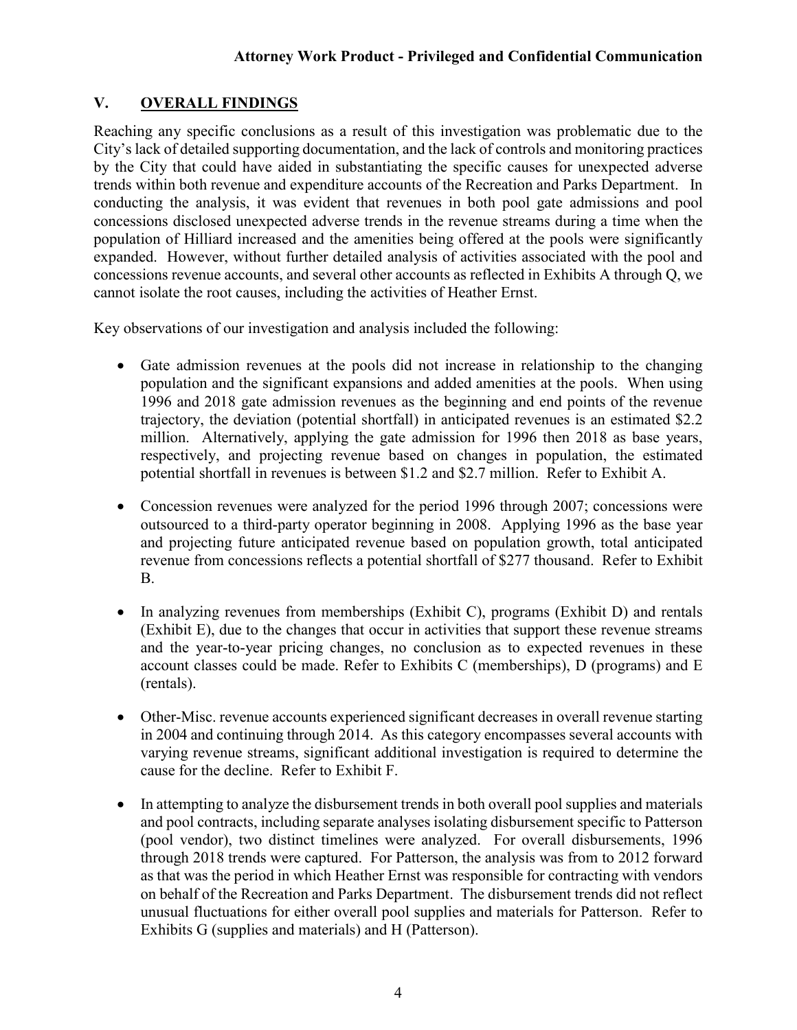## **V. OVERALL FINDINGS**

Reaching any specific conclusions as a result of this investigation was problematic due to the City's lack of detailed supporting documentation, and the lack of controls and monitoring practices by the City that could have aided in substantiating the specific causes for unexpected adverse trends within both revenue and expenditure accounts of the Recreation and Parks Department. In conducting the analysis, it was evident that revenues in both pool gate admissions and pool concessions disclosed unexpected adverse trends in the revenue streams during a time when the population of Hilliard increased and the amenities being offered at the pools were significantly expanded. However, without further detailed analysis of activities associated with the pool and concessions revenue accounts, and several other accounts as reflected in Exhibits A through Q, we cannot isolate the root causes, including the activities of Heather Ernst.

Key observations of our investigation and analysis included the following:

- Gate admission revenues at the pools did not increase in relationship to the changing population and the significant expansions and added amenities at the pools. When using 1996 and 2018 gate admission revenues as the beginning and end points of the revenue trajectory, the deviation (potential shortfall) in anticipated revenues is an estimated \$2.2 million. Alternatively, applying the gate admission for 1996 then 2018 as base years, respectively, and projecting revenue based on changes in population, the estimated potential shortfall in revenues is between \$1.2 and \$2.7 million. Refer to Exhibit A.
- Concession revenues were analyzed for the period 1996 through 2007; concessions were outsourced to a third-party operator beginning in 2008. Applying 1996 as the base year and projecting future anticipated revenue based on population growth, total anticipated revenue from concessions reflects a potential shortfall of \$277 thousand. Refer to Exhibit B.
- In analyzing revenues from memberships (Exhibit C), programs (Exhibit D) and rentals (Exhibit E), due to the changes that occur in activities that support these revenue streams and the year-to-year pricing changes, no conclusion as to expected revenues in these account classes could be made. Refer to Exhibits C (memberships), D (programs) and E (rentals).
- Other-Misc. revenue accounts experienced significant decreases in overall revenue starting in 2004 and continuing through 2014. As this category encompasses several accounts with varying revenue streams, significant additional investigation is required to determine the cause for the decline. Refer to Exhibit F.
- In attempting to analyze the disbursement trends in both overall pool supplies and materials and pool contracts, including separate analyses isolating disbursement specific to Patterson (pool vendor), two distinct timelines were analyzed. For overall disbursements, 1996 through 2018 trends were captured. For Patterson, the analysis was from to 2012 forward as that was the period in which Heather Ernst was responsible for contracting with vendors on behalf of the Recreation and Parks Department. The disbursement trends did not reflect unusual fluctuations for either overall pool supplies and materials for Patterson. Refer to Exhibits G (supplies and materials) and H (Patterson).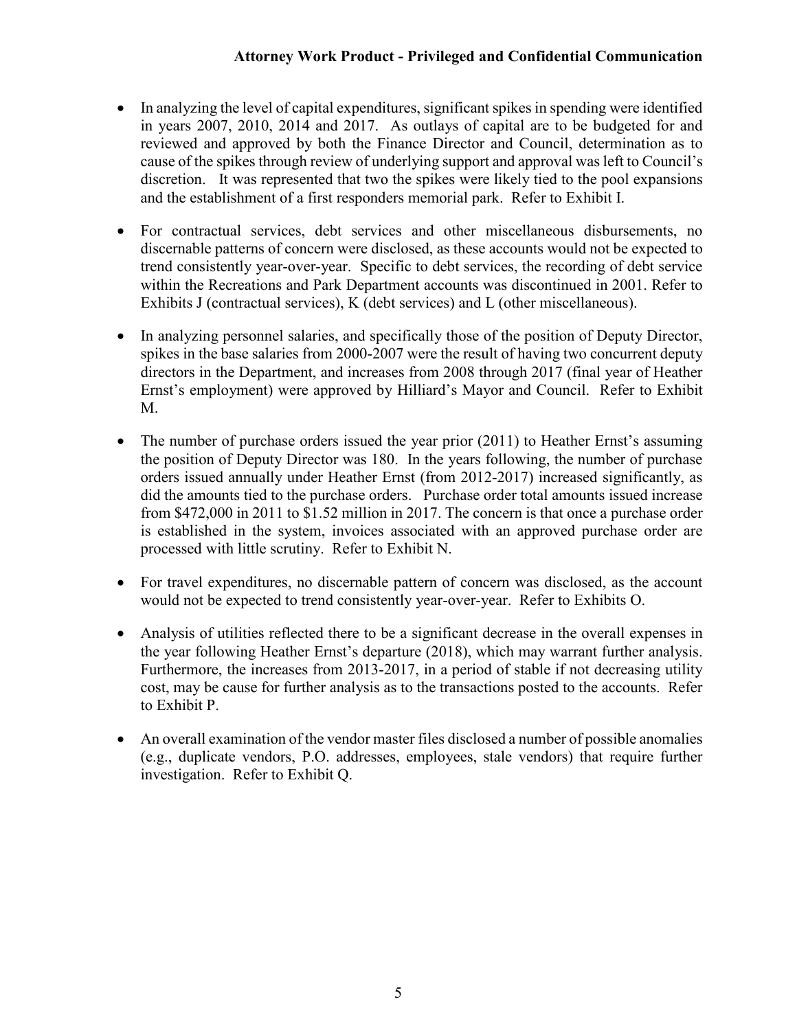## **Attorney Work Product - Privileged and Confidential Communication**

- In analyzing the level of capital expenditures, significant spikes in spending were identified in years 2007, 2010, 2014 and 2017. As outlays of capital are to be budgeted for and reviewed and approved by both the Finance Director and Council, determination as to cause of the spikes through review of underlying support and approval was left to Council's discretion. It was represented that two the spikes were likely tied to the pool expansions and the establishment of a first responders memorial park. Refer to Exhibit I.
- For contractual services, debt services and other miscellaneous disbursements, no discernable patterns of concern were disclosed, as these accounts would not be expected to trend consistently year-over-year. Specific to debt services, the recording of debt service within the Recreations and Park Department accounts was discontinued in 2001. Refer to Exhibits J (contractual services), K (debt services) and L (other miscellaneous).
- In analyzing personnel salaries, and specifically those of the position of Deputy Director, spikes in the base salaries from 2000-2007 were the result of having two concurrent deputy directors in the Department, and increases from 2008 through 2017 (final year of Heather Ernst's employment) were approved by Hilliard's Mayor and Council. Refer to Exhibit M.
- The number of purchase orders issued the year prior (2011) to Heather Ernst's assuming the position of Deputy Director was 180. In the years following, the number of purchase orders issued annually under Heather Ernst (from 2012-2017) increased significantly, as did the amounts tied to the purchase orders. Purchase order total amounts issued increase from \$472,000 in 2011 to \$1.52 million in 2017. The concern is that once a purchase order is established in the system, invoices associated with an approved purchase order are processed with little scrutiny. Refer to Exhibit N.
- For travel expenditures, no discernable pattern of concern was disclosed, as the account would not be expected to trend consistently year-over-year. Refer to Exhibits O.
- Analysis of utilities reflected there to be a significant decrease in the overall expenses in the year following Heather Ernst's departure (2018), which may warrant further analysis. Furthermore, the increases from 2013-2017, in a period of stable if not decreasing utility cost, may be cause for further analysis as to the transactions posted to the accounts. Refer to Exhibit P.
- An overall examination of the vendor master files disclosed a number of possible anomalies (e.g., duplicate vendors, P.O. addresses, employees, stale vendors) that require further investigation. Refer to Exhibit Q.